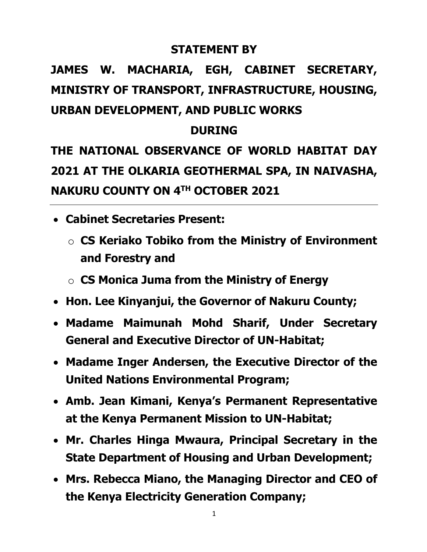# **STATEMENT BY**

# **JAMES W. MACHARIA, EGH, CABINET SECRETARY, MINISTRY OF TRANSPORT, INFRASTRUCTURE, HOUSING, URBAN DEVELOPMENT, AND PUBLIC WORKS**

#### **DURING**

**THE NATIONAL OBSERVANCE OF WORLD HABITAT DAY 2021 AT THE OLKARIA GEOTHERMAL SPA, IN NAIVASHA, NAKURU COUNTY ON 4TH OCTOBER 2021**

- **Cabinet Secretaries Present:**
	- o **CS Keriako Tobiko from the Ministry of Environment and Forestry and**
	- o **CS Monica Juma from the Ministry of Energy**
- **Hon. Lee Kinyanjui, the Governor of Nakuru County;**
- **Madame Maimunah Mohd Sharif, Under Secretary General and Executive Director of UN-Habitat;**
- **Madame Inger Andersen, the Executive Director of the United Nations Environmental Program;**
- **Amb. Jean Kimani, Kenya's Permanent Representative at the Kenya Permanent Mission to UN-Habitat;**
- **Mr. Charles Hinga Mwaura, Principal Secretary in the State Department of Housing and Urban Development;**
- **Mrs. Rebecca Miano, the Managing Director and CEO of the Kenya Electricity Generation Company;**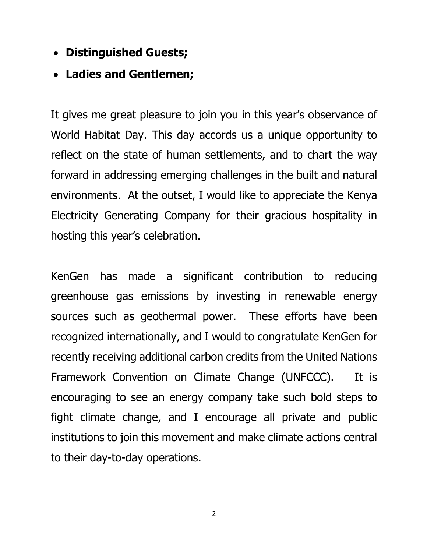- **Distinguished Guests;**
- **Ladies and Gentlemen;**

It gives me great pleasure to join you in this year's observance of World Habitat Day. This day accords us a unique opportunity to reflect on the state of human settlements, and to chart the way forward in addressing emerging challenges in the built and natural environments. At the outset, I would like to appreciate the Kenya Electricity Generating Company for their gracious hospitality in hosting this year's celebration.

KenGen has made a significant contribution to reducing greenhouse gas emissions by investing in renewable energy sources such as geothermal power. These efforts have been recognized internationally, and I would to congratulate KenGen for recently receiving additional carbon credits from the United Nations Framework Convention on Climate Change (UNFCCC). It is encouraging to see an energy company take such bold steps to fight climate change, and I encourage all private and public institutions to join this movement and make climate actions central to their day-to-day operations.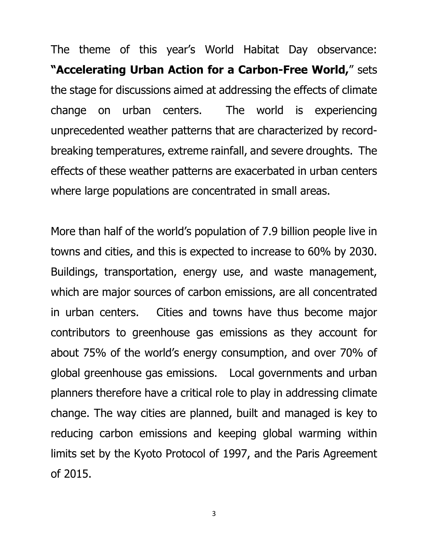The theme of this year's World Habitat Day observance: **"Accelerating Urban Action for a Carbon-Free World,**" sets the stage for discussions aimed at addressing the effects of climate change on urban centers. The world is experiencing unprecedented weather patterns that are characterized by recordbreaking temperatures, extreme rainfall, and severe droughts. The effects of these weather patterns are exacerbated in urban centers where large populations are concentrated in small areas.

More than half of the world's population of 7.9 billion people live in towns and cities, and this is expected to increase to 60% by 2030. Buildings, transportation, energy use, and waste management, which are major sources of carbon emissions, are all concentrated in urban centers. Cities and towns have thus become major contributors to greenhouse gas emissions as they account for about 75% of the world's energy consumption, and over 70% of global greenhouse gas emissions. Local governments and urban planners therefore have a critical role to play in addressing climate change. The way cities are planned, built and managed is key to reducing carbon emissions and keeping global warming within limits set by the Kyoto Protocol of 1997, and the Paris Agreement of 2015.

3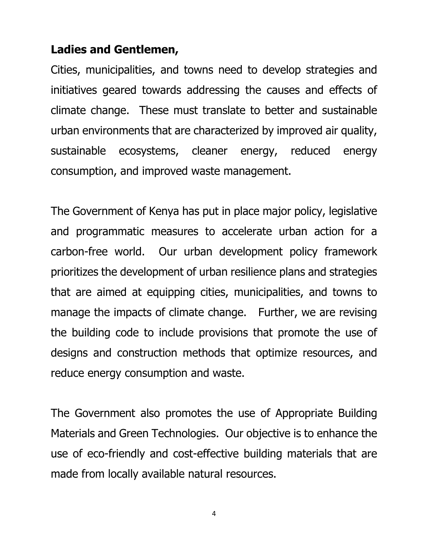### **Ladies and Gentlemen,**

Cities, municipalities, and towns need to develop strategies and initiatives geared towards addressing the causes and effects of climate change. These must translate to better and sustainable urban environments that are characterized by improved air quality, sustainable ecosystems, cleaner energy, reduced energy consumption, and improved waste management.

The Government of Kenya has put in place major policy, legislative and programmatic measures to accelerate urban action for a carbon-free world. Our urban development policy framework prioritizes the development of urban resilience plans and strategies that are aimed at equipping cities, municipalities, and towns to manage the impacts of climate change. Further, we are revising the building code to include provisions that promote the use of designs and construction methods that optimize resources, and reduce energy consumption and waste.

The Government also promotes the use of Appropriate Building Materials and Green Technologies. Our objective is to enhance the use of eco-friendly and cost-effective building materials that are made from locally available natural resources.

4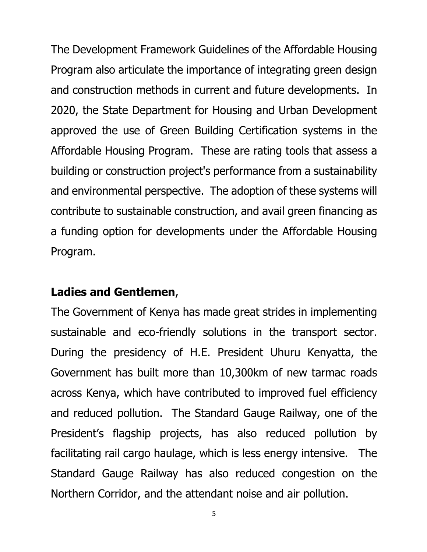The Development Framework Guidelines of the Affordable Housing Program also articulate the importance of integrating green design and construction methods in current and future developments. In 2020, the State Department for Housing and Urban Development approved the use of Green Building Certification systems in the Affordable Housing Program. These are rating tools that assess a building or construction project's performance from a sustainability and environmental perspective. The adoption of these systems will contribute to sustainable construction, and avail green financing as a funding option for developments under the Affordable Housing Program.

#### **Ladies and Gentlemen**,

The Government of Kenya has made great strides in implementing sustainable and eco-friendly solutions in the transport sector. During the presidency of H.E. President Uhuru Kenyatta, the Government has built more than 10,300km of new tarmac roads across Kenya, which have contributed to improved fuel efficiency and reduced pollution. The Standard Gauge Railway, one of the President's flagship projects, has also reduced pollution by facilitating rail cargo haulage, which is less energy intensive. The Standard Gauge Railway has also reduced congestion on the Northern Corridor, and the attendant noise and air pollution.